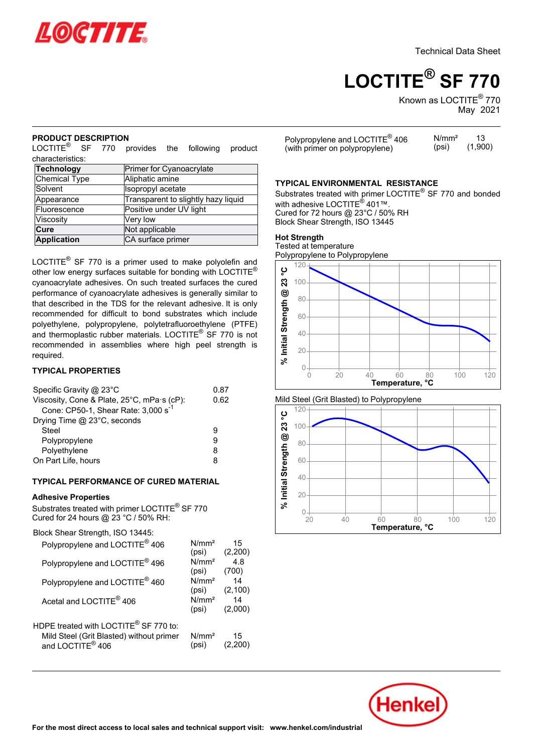

# **LOCTITE® SF 770**

Known as LOCTITE $^\circledR$  770 May- 2021

#### **PRODUCT DESCRIPTION**

LOCTITE® SF 770 provides the following product characteristics:

| Primer for Cyanoacrylate            |  |
|-------------------------------------|--|
| Aliphatic amine                     |  |
| Isopropyl acetate                   |  |
| Transparent to slightly hazy liquid |  |
| Positive under UV light             |  |
| Very low                            |  |
| Not applicable                      |  |
| CA surface primer                   |  |
|                                     |  |

LOCTITE $^{\circledR}$  SF 770 is a primer used to make polyolefin and other low energy surfaces suitable for bonding with LOCTITE® cyanoacrylate adhesives. On such treated surfaces the cured performance of cyanoacrylate adhesives is generally similar to that described in the TDS for the relevant adhesive. It is only recommended for difficult to bond substrates which include polyethylene, polypropylene, polytetrafluoroethylene (PTFE) and thermoplastic rubber materials. LOCTITE® SF <sup>770</sup> is not recommended in assemblies where high peel strength is required.

# **TYPICAL PROPERTIES**

| Specific Gravity @ 23°C<br>Viscosity, Cone & Plate, 25°C, mPa·s (cP):<br>Cone: CP50-1, Shear Rate: 3,000 s <sup>-1</sup> | 0.87<br>0.62 |
|--------------------------------------------------------------------------------------------------------------------------|--------------|
| Drying Time @ 23°C, seconds                                                                                              |              |
| Steel                                                                                                                    | g            |
| Polypropylene                                                                                                            | 9            |
| Polyethylene                                                                                                             | 8            |
| On Part Life, hours                                                                                                      | 8            |

## **TYPICAL PERFORMANCE OF CURED MATERIAL**

#### **Adhesive Properties**

Substrates treated with primer LOCTITE® SF <sup>770</sup> Cured for 24 hours @ 23 °C / 50% RH:

Block Shear Strength, ISO 13445:

| Polypropylene and LOCTITE <sup>®</sup> 406                               | N/mm <sup>2</sup><br>(psi) | 15<br>(2,200) |  |
|--------------------------------------------------------------------------|----------------------------|---------------|--|
| Polypropylene and LOCTITE <sup>®</sup> 496                               | N/mm <sup>2</sup><br>(psi) | 4.8<br>(700)  |  |
| Polypropylene and LOCTITE <sup>®</sup> 460                               | N/mm <sup>2</sup><br>(psi) | 14<br>(2,100) |  |
| Acetal and LOCTITE <sup>®</sup> 406                                      | N/mm <sup>2</sup><br>(psi) | 14<br>(2,000) |  |
| HDPE treated with LOCTITE® SF 770 to:                                    |                            |               |  |
| Mild Steel (Grit Blasted) without primer<br>and LOCTITE <sup>®</sup> 406 | N/mm <sup>2</sup><br>(psi) | 15<br>(2.200) |  |
|                                                                          |                            |               |  |

| Polypropylene and LOCTITE $^{\circledR}$ 406 | N/mm <sup>2</sup> |         |
|----------------------------------------------|-------------------|---------|
| (with primer on polypropylene)               | (psi)             | (1,900) |

#### **TYPICAL ENVIRONMENTAL RESISTANCE**

Substrates treated with primer LOCTITE® SF <sup>770</sup> and bonded odbstrates treated with primer E<br>with adhesive LOCTITE® 401™. Cured for 72 hours @ 23°C / 50% RH Block Shear Strength, ISO 13445

# **Hot Strength**

not otrengtn<br>Tested at temperature Polypropylene to Polypropylene



Mild Steel (Grit Blasted) to Polypropylene



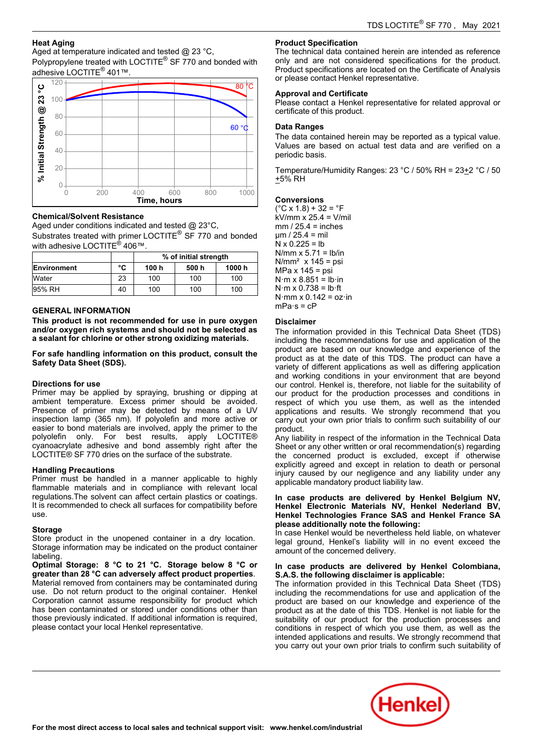## **Heat Aging**

Aged at temperature indicated and tested @ 23 °C,

 $P_{\text{o}}$  at emperature marcated and tested  $\mathcal{L}_{\text{o}}$  25 °  $\sigma$ ,<br>Polypropylene treated with LOCTITE® SF 770 and bonded with r orypropyione treated with i<br>adhesive LOCTITE® 401™.



#### **Chemical/Solvent Resistance**

Aged under conditions indicated and tested @ 23°C,

Substrates treated with primer LOCTITE® SF 770 and bonded  $\frac{1}{2}$  with adhesive LOCTITE<sup>®</sup> 406™.

|              |    | % of initial strength |       |        |
|--------------|----|-----------------------|-------|--------|
| Environment  | °C | 100 h                 | 500 h | 1000 h |
| <b>Water</b> | 23 | 100                   | 100   | 100    |
| 195% RH      | 40 | 100                   | 100   | 100    |

#### **GENERAL INFORMATION**

**This product is not recommended for use in pure oxygen and/or oxygen rich systems and should not be selected as a sealant for chlorine or other strong oxidizing materials.**

**For safe handling information on this product, consult the Safety Data Sheet (SDS).**

#### **Directions for use**

Primer may be applied by spraying, brushing or dipping at ambient temperature. Excess primer should be avoided. Presence of primer may be detected by means of a UV inspection lamp (365 nm). If polyolefin and more active or easier to bond materials are involved, apply the primer to the polyolefin only. For best results, apply LOCTITE® cyanoacrylate adhesive and bond assembly right after the LOCTITE® SF 770 dries on the surface of the substrate.

#### **Handling Precautions**

Primer must be handled in a manner applicable to highly Frimer mast be handled in a manner applicable to highly<br>flammable materials and in compliance with relevant local requilations. The solvent can affect certain plastics or coatings. It is recommended to check all surfaces for compatibility before use.

#### **Storage**

Store product in the unopened container in a dry location. Storage information may be indicated on the product container labeling.

 **Optimal Storage: 8 °C to 21 °C. Storage below 8 °C or greater than 28 °C can adversely affect product properties**. Material removed from containers may be contaminated during use. Do not return product to the original container. Henkel ase. Be not retain product to the original container. Trentier<br>Corporation cannot assume responsibility for product which has been contaminated or stored under conditions other than those previously indicated. If additional information is required, mose previously indicated: ir additional imormations<br>please contact your local Henkel representative.

## **Product Specification**

**The technical data contained herein are intended as reference** only and are not considered specifications for the product. Product specifications are located on the Certificate of Analysis **The act of pedifications are located on the**<br>or please contact Henkel representative.

#### **Approval and Certificate**

Please contact a Henkel representative for related approval or certificate of this product.

# **Data Ranges**

The data contained herein may be reported as a typical value. Values are based on actual test data and are verified on a values are be<br>periodic basis.

Temperature/Humidity Ranges: 23 °C / 50% RH = 23+2 °C / 50 +5% RH

#### **Conversions**

(°C x 1.8) + 32 = °F kV/mm x 25.4 = V/mil mm / 25.4 = inches µm / 25.4 = mil N x 0.225 = lb N/mm x 5.71 = lb/in N/mm² x 145 = psi MPa x 145 = psi N·m x 8.851 = lb·in N·m x 0.738 = lb·ft N·mm x 0.142 = oz·in ………..<br>mPa·s = cP

#### **Disclaimer**

The information provided in this Technical Data Sheet (TDS) including the recommendations for use and application of the<br>including the recommendations for use and application of the product are based on our knowledge and experience of the product as at the date of this TDS. The product can have a variety of different applications as well as differing application and working conditions in your environment that are beyond our control. Henkel is, therefore, not liable for the suitability of our product for the production processes and conditions in respect of which you use them, as well as the intended applications and results. We strongly recommend that you carry out your own prior trials to confirm such suitability of our product.

Any liability in respect of the information in the Technical Data Any hability in respect of the information in the rechnical Bata<br>Sheet or any other written or oral recommendation(s) regarding the concerned product is excluded, except if otherwise explicitly agreed and except in relation to death or personal injury caused by our negligence and any liability under any applicable mandatory product liability law.

# **In case products are delivered by Henkel Belgium NV, Henkel Electronic Materials NV, Henkel Nederland BV, Henkel Technologies France SAS and Henkel France SA please additionally note the following:**

picase additionally flote the following.<br>In case Henkel would be nevertheless held liable, on whatever legal ground, Henkel's liability will in no event exceed the amount of the concerned delivery.

#### **In case products are delivered by Henkel Colombiana, S.A.S. the following disclaimer is applicable:**

**C.A.C. the following disclaimer is applicable.**<br>The information provided in this Technical Data Sheet (TDS) including the recommendations for use and application of the product are based on our knowledge and experience of the product as at the date of this TDS. Henkel is not liable for the suitability of our product for the production processes and conditions in respect of which you use them, as well as the intended applications and results. We strongly recommend that you carry out your own prior trials to confirm such suitability of